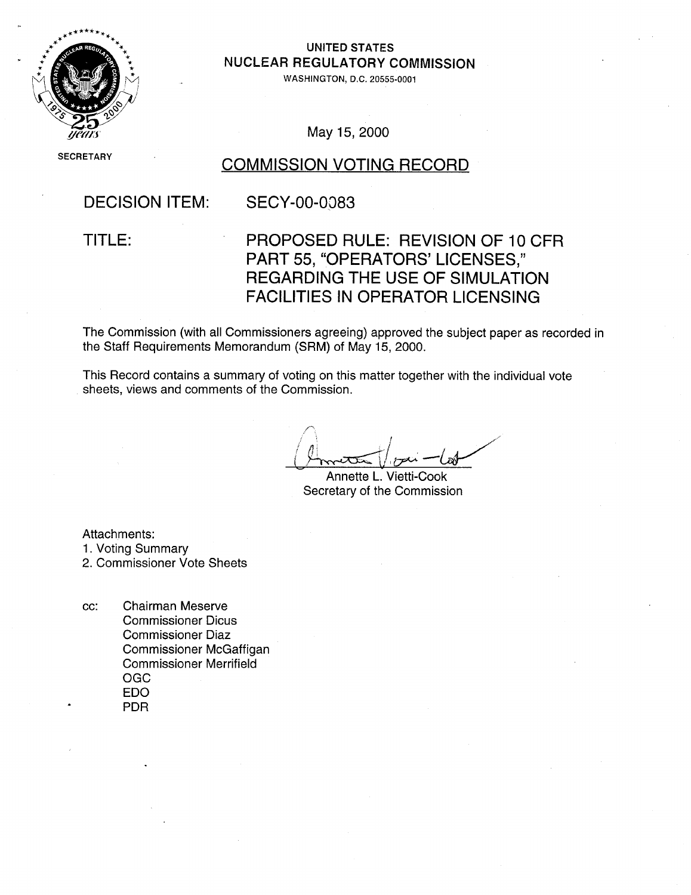

UNITED STATES **NUCLEAR REGULATORY COMMISSION**<br>WASHINGTON, D.C. 20555-0001

May **15,** 2000

# SECRETARY COMMISSION VOTING RECORD

# DECISION ITEM: SECY-00-0083

# TITLE: PROPOSED RULE: REVISION OF 10 CFR PART 55, "OPERATORS' LICENSES," REGARDING THE USE OF SIMULATION FACILITIES IN OPERATOR LICENSING

The Commission (with all Commissioners agreeing) approved the subject paper as recorded in the Staff Requirements Memorandum (SRM) of May 15, 2000.

This Record contains a summary of voting on this matter together with the individual vote sheets, views and comments of the Commission.

Annette L. Vietti-Cook Secretary of the Commission

Attachments:

1. Voting Summary

2. Commissioner Vote Sheets

cc: Chairman Meserve Commissioner Dicus Commissioner Diaz Commissioner McGaffigan Commissioner Merrifield OGC EDO PDR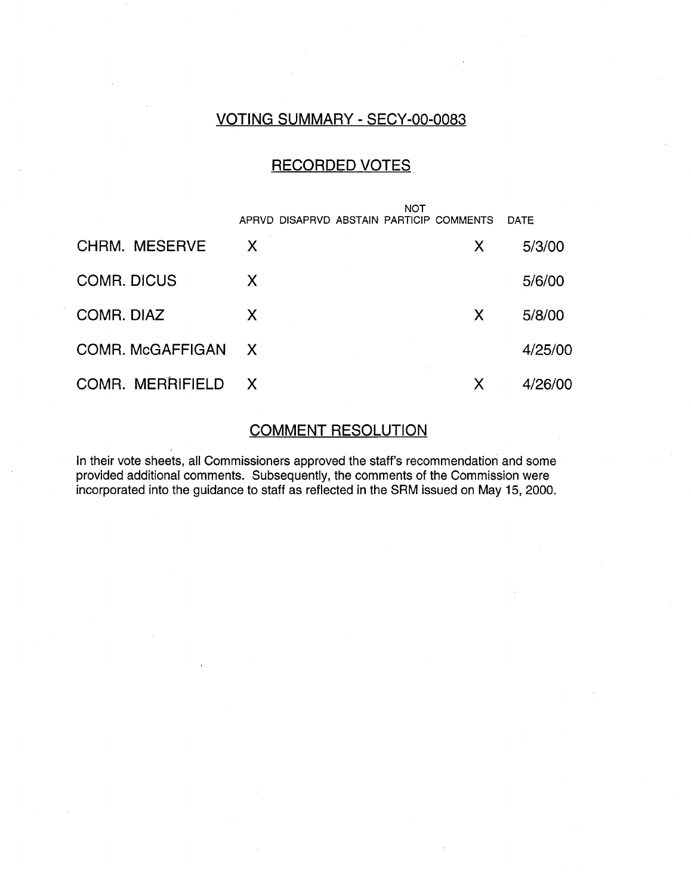# VOTING SUMMARY - SECY-00-0083

#### RECORDED VOTES

|                      |              | NOT                                      |   |             |
|----------------------|--------------|------------------------------------------|---|-------------|
|                      |              | APRVD DISAPRVD ABSTAIN PARTICIP COMMENTS |   | <b>DATE</b> |
| <b>CHRM. MESERVE</b> | X            |                                          | X | 5/3/00      |
| <b>COMR. DICUS</b>   | X            |                                          |   | 5/6/00      |
| COMR. DIAZ           | X            |                                          | X | 5/8/00      |
| COMR. McGAFFIGAN     | $\mathsf{X}$ |                                          |   | 4/25/00     |
| COMR. MERRIFIELD     | $\mathsf{X}$ |                                          | X | 4/26/00     |

#### COMMENT RESOLUTION

In their vote sheets, all Commissioners approved the staff's recommendation and some provided additional comments. Subsequently, the comments of the Commission were incorporated into the guidance to staff as reflected in the SRM issued on May 15, 2000.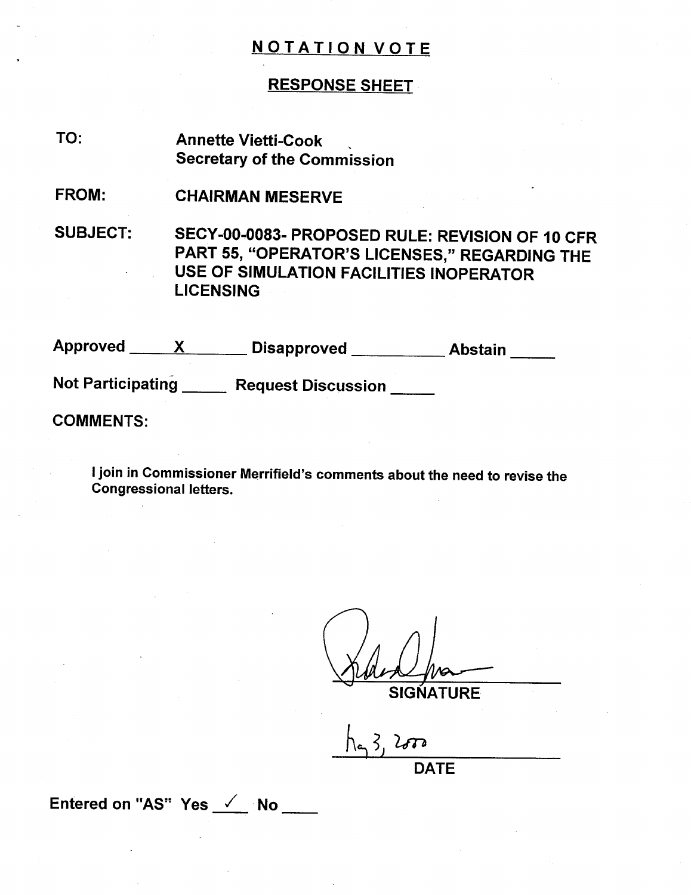#### RESPONSE SHEET

- Annette Vietti-Cook Secretary of the Commission TO:
- CHAIRMAN MESERVE FROM:

SUBJECT: SECY-00-0083- PROPOSED RULE: REVISION OF 10 CFR PART 55, "OPERATOR'S LICENSES," REGARDING THE USE OF SIMULATION FACILITIES INOPERATOR LICENSING

Approved <u>XX</u> Disapproved Abstain Not Participating \_\_\_\_\_ Request Discussion \_\_\_\_

COMMENTS:

I join in Commissioner Merrifield's comments about the need to revise the Congressional letters.

**SIGNATURE** 

**DATE** 

Entered on **"AS!"** Yes **/** No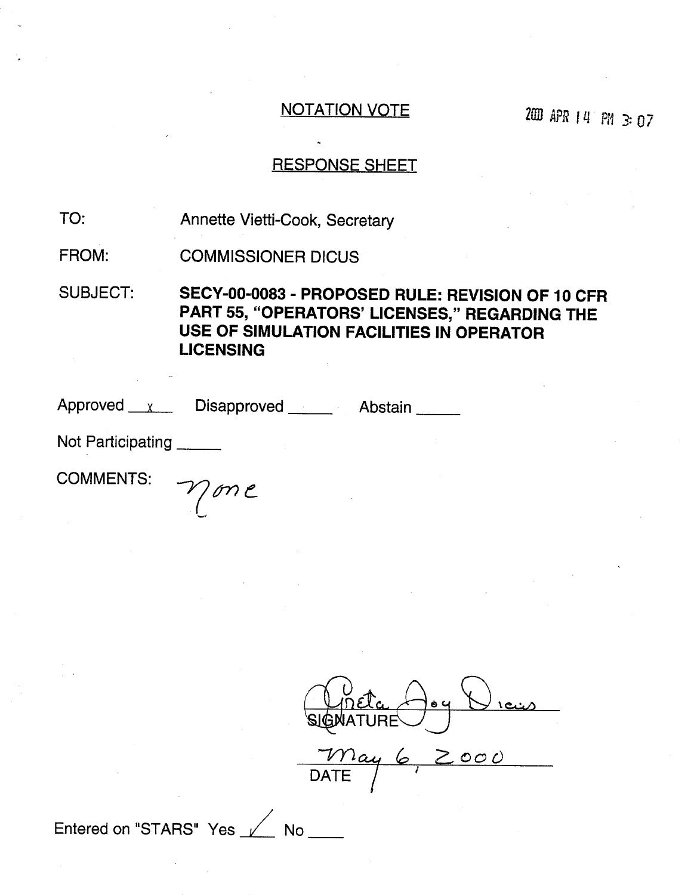*ZD* **APR** 14 *PR* 3:07

### RESPONSE SHEET

Annette Vietti-Cook, Secretary TO:

COMMISSIONER DICUS FROM:

SUBJECT: **SECY-00-0083** - PROPOSED RULE: REVISION OF **10** CFR PART **55, "OPERATORS' LICENSES,"** REGARDING THE **USE** OF **SIMULATION FACILITIES IN** OPERATOR **LICENSING**

Approved x Disapproved Abstair

Not Participating

comments:  $\gamma_{\text{on}}$ e

 $\left| \begin{array}{c} 0 \\ 0 \\ 0 \end{array} \right|$ DATE /

Entered on "STARS" Yes No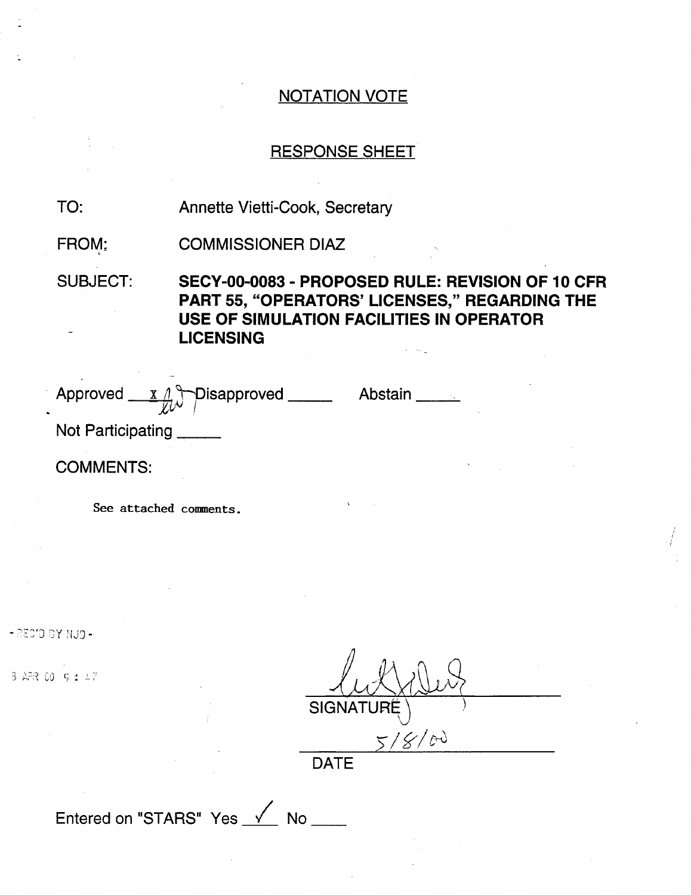#### RESPONSE SHEET

Annette Vietti-Cook, Secretary TO:

COMMISSIONER DIAZ FROM:

SUBJECT: **SECY-00-0083** - PROPOSED RULE: REVISION OF **10** CFR PART **55,** "OPERATORS' **LICENSES,"** REGARDING THE **USE** OF **SIMULATION FACILITIES IN** OPERATOR **LICENSING**

Approved x 1 Disapproved Abstair

Not Participating

COMMENTS:

See attached comments.

" AEC'D BY NJD -

W 9:

| SIGNATURÉ |
|-----------|
| 01<br>AJ  |
|           |

DAIE

Entered on "STARS" Yes  $\sqrt{ }$  No  $\sqrt{ }$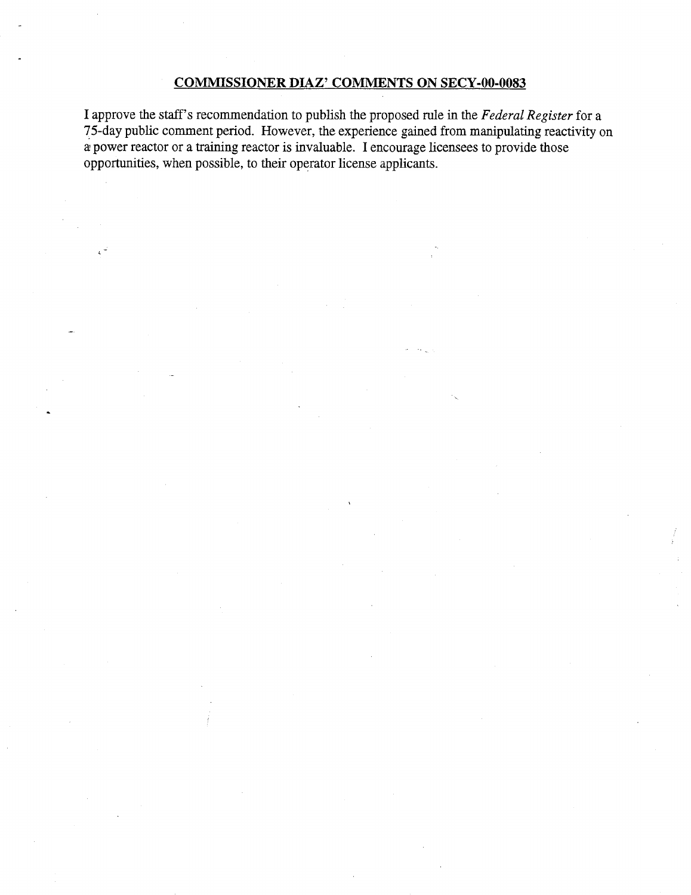#### **COMMISSIONER DIAZ' COMMENTS ON SECY-00-0083**

I approve the staff's recommendation to publish the proposed rule in the *Federal Register* for a 75-day public comment period. However, the experience gained from manipulating reactivity on a power reactor or a training reactor is invaluable. I encourage licensees to provide those opportunities, when possible, to their operator license applicants.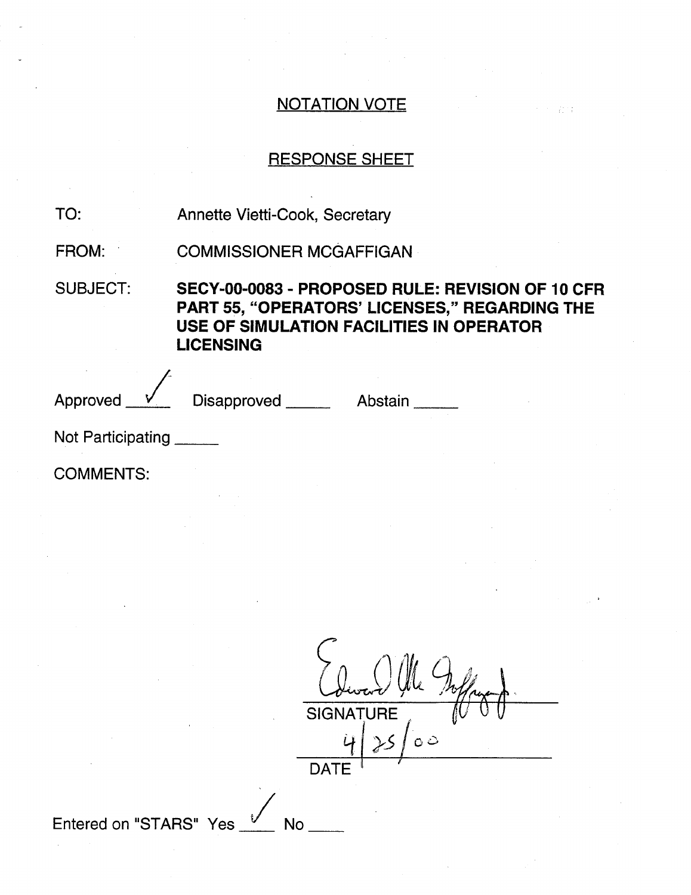# RESPONSE SHEET

| TO:             | Annette Vietti-Cook, Secretary                                                                                                                                           |  |
|-----------------|--------------------------------------------------------------------------------------------------------------------------------------------------------------------------|--|
| FROM:           | <b>COMMISSIONER MCGAFFIGAN</b>                                                                                                                                           |  |
| <b>SUBJECT:</b> | SECY-00-0083 - PROPOSED RULE: REVISION OF 10 CFR<br><b>PART 55, "OPERATORS' LICENSES," REGARDING THE</b><br>USE OF SIMULATION FACILITIES IN OPERATOR<br><b>LICENSING</b> |  |
| Approved        | Disapproved ____<br>Abstain                                                                                                                                              |  |

 $\overline{\phantom{a}}$ No $\overline{\phantom{a}}$ 

Not Participating

COMMENTS:

| <b>SIGNATURE</b> |         |
|------------------|---------|
|                  | $\circ$ |
| <b>DATE</b>      |         |

Entered on "STARS" Yes  $V$ </u>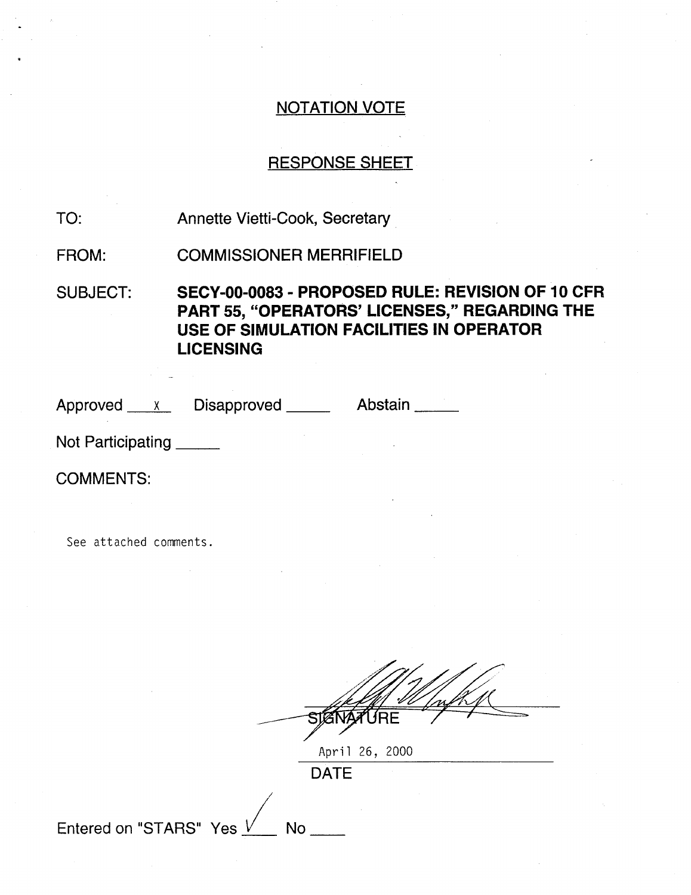### RESPONSE SHEET

Annette Vietti-Cook, Secretary TO:

COMMISSIONER MERRIFIELD FROM:

SUBJECT: **SECY-00-0083** - PROPOSED RULE: REVISION OF **10** CFR PART **55,** "OPERATORS' **LICENSES,"** REGARDING THE **USE** OF **SIMULATION FACILITIES IN** OPERATOR **LICENSING**

Approved x Disapproved Abstain

Not Participating

COMMENTS:

See attached comments.

April 26, 2000

DATE

Entered on "STARS" Yes  $\sqrt{ }$  No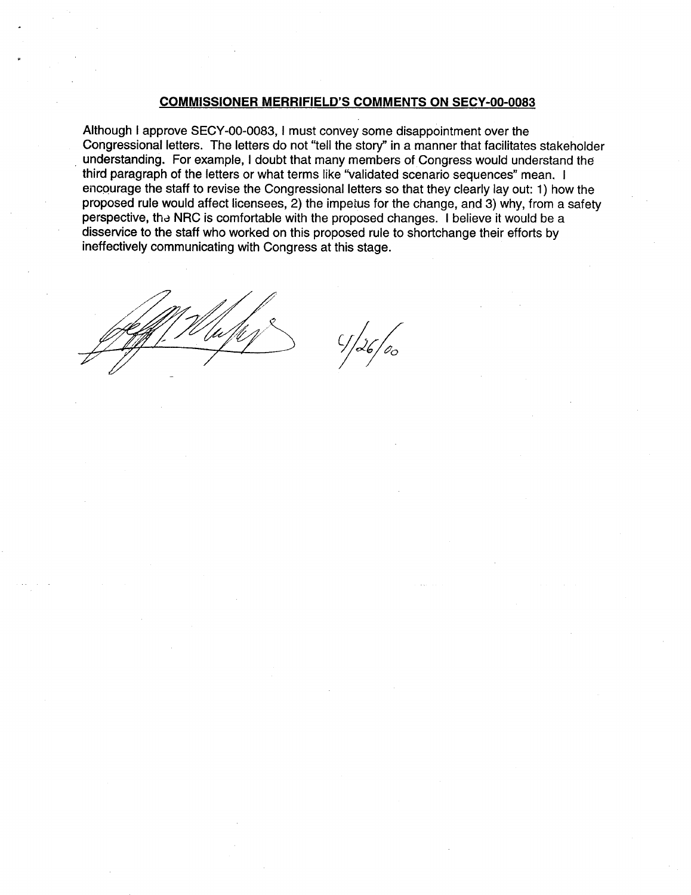#### **COMMISSIONER** MERRIFIELD'S **COMMENTS ON SECY-00-0083**

Although I approve SECY-00-0083, I must convey some disappointment over the Congressional letters. The letters do not "tell the story" in a manner that facilitates stakeholder understanding. For example, I doubt that many members of Congress would understand the third paragraph of the letters or what terms like "validated scenario sequences" mean. I encourage the staff to revise the Congressional letters so that they clearly lay out: 1) how the proposed rule would affect licensees, 2) the impetus for the change, and 3) why, from a safety perspective, tha NRC is comfortable with the proposed changes. I believe it would be a disservice to the staff who worked on this proposed rule to shortchange their efforts by ineffectively communicating with Congress at this stage.